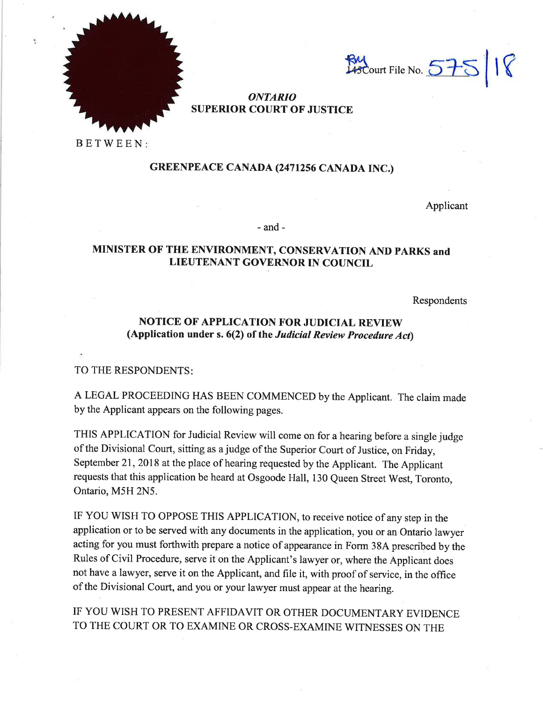



# ONTARIO SUPERIOR COURT OF JUSTICE

BETWEEN

# GREENPEACE CANADA (2471256 CANADA INC.)

Applicant

 $-$ and $-$ 

# MINISTER OF THE ENVIRONMENT, CONSERVATION AND PARKS and LIEUTENANT GOVERNOR IN COUNCIL

Respondents

# NOTICE OF APPLICATION FOR JUDICIAL REVIEW (Application under s.  $6(2)$  of the Judicial Review Procedure Act)

TO THE RESPONDENTS

A LEGAL PROCEEDING HAS BEEN COMMENCED by the Applicant. The claim made by the Applicant appears on the following pages.

THIS APPLICATION for Judicial Review will come on for a hearing before a single judge of the Divisional Court, sitting as a judge of the Superior Court of Justice, on Friday, September 21, 2018 at the place of hearing requested by the Applicant. The Applicant requests that this application be heard at Osgoode Hall, 130 Queen Street West, Toronto, Ontario, M5H 2N5.

IF YOU WISH TO OPPOSE THIS APPLICATION, to receive notice of any step in the application or to be served with any documents in the application, you or an Ontario lawyer acting for you must forthwith prepare a notice of appearance in Form 38A prescribed by the Rules of Civil Procedure, serve it on the Applicant's lawyer or, where the Applicant does not have a lawyer, serve it on the Applicant, and file it, with proof of service, in the office of the Divisional court, and you or your lawyer must appear at the hearing.

IF YOU WISH TO PRESENT AFFIDAVIT OR OTHER DOCUMENTARY EVIDENCE TO THE COURT OR TO EXAMINE OR CROSS-EXAMINE WITNESSES ON THE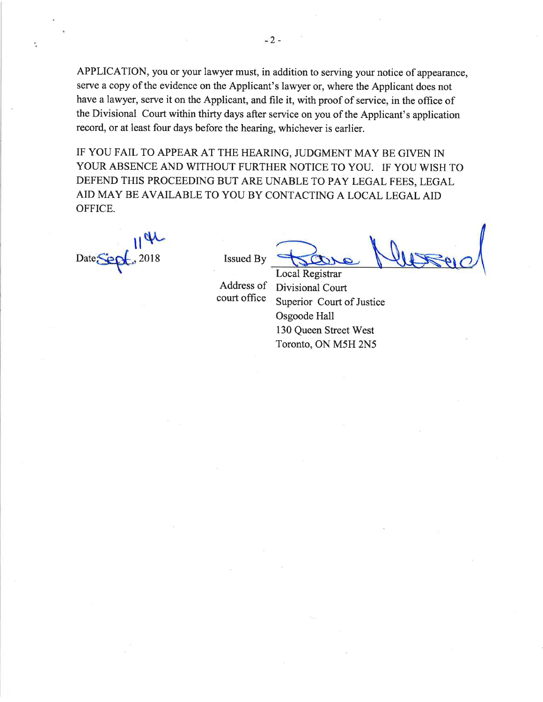APPLICATION, you or your lawyer must, in addition to serving your notice of appearance, serve a copy of the evidence on the Applicant's lawyer or, where the Applicant does not have a lawyer, serve it on the Applicant, and file it, with proof of service, in the office of the Divisional Court within thirty days after service on you of the Applicant's application record, or at least four days before the hearing, whichever is earlier.

IF YOU FAIL TO APPEAR AT THE HEARING, JUDGMENT MAY BE GIVEN IN YOUR ABSENCE AND WITHOUT FURTHER NOTICE TO YOU. IF YOU WISH TO DEFEND THIS PROCEEDING BUT ARE UNABLE TO PAY LEGAL FEES, LEGAL AID MAY BE AVAILABLE TO YOU BY CONTACTING A LOCAL LEGAL AID OFFICE.

 $H_{\textrm{NL}}$  $Date \leftarrow$ , 2018 Issued By

ř,

Local Registrar

Address of Divisional Court<br>court office Superior Court of Superior Court of Justice Osgoode Hall 130 Queen Street West Toronto, ON M5H 2N5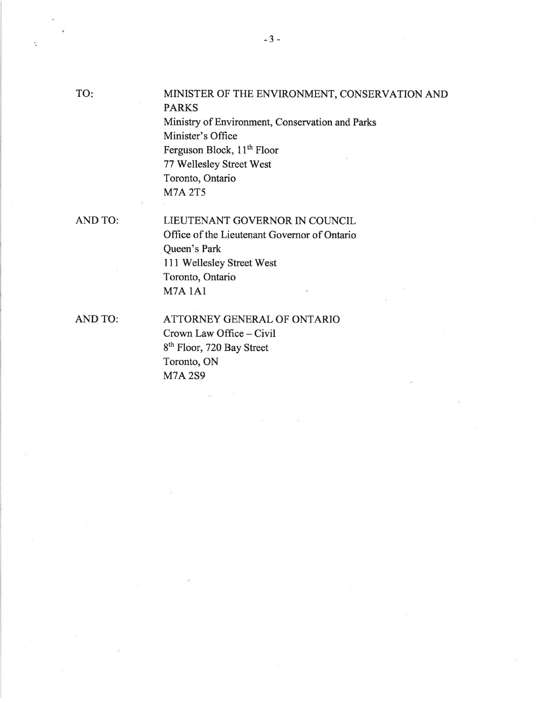$\tilde{\Sigma}$ 

# MINISTER OF THE ENVIRONMENT, CONSERVATION AND PARKS

Ministry of Environment, Conservation and Parks Minister's Office Ferguson Block, 11<sup>th</sup> Floor 77 Wellesley Street West Toronto, Ontario M7A 2T5

AND TO:

LIEUTENANT GOVERNOR IN COUNCIL Office of the Lieutenant Governor of Ontario

Queen's Park 111 Wellesley Street West Toronto, Ontario M7A lAI

AND TO:

ATTORNEY GENERAL OF ONTARIO Crown Law Office - Civil 8<sup>th</sup> Floor, 720 Bay Street Toronto, ON **M7A2S9**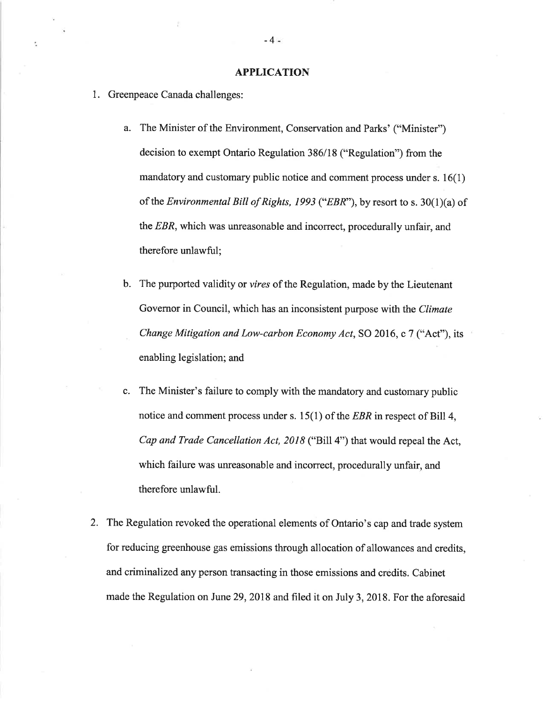#### APPLICATION

- 1. Greenpeace Canada challenges:
	- a. The Minister of the Environment, Conservation and Parks' ("Minister") decision to exempt Ontario Regulation 386/18 ("Regulation") from the mandatory and customary public notice and comment process under  $s. 16(1)$ of the *Environmental Bill of Rights, 1993* ("*EBR*"), by resort to s. 30(1)(a) of the EBR, which was unreasonable and incorrect, procedurally unfair, and therefore unlawful;
	- b. The purported validity or vires of the Regulation, made by the Lieutenant Governor in Council, which has an inconsistent purpose with the Climate Change Mitigation and Low-carbon Economy Act, SO 2016, c 7 ("Act"), its enabling legislation; and
	- c. The Minister's failure to comply with the mandatory and customary public notice and comment process under s.  $15(1)$  of the *EBR* in respect of Bill 4, Cap and Trade Cancellation Act, 2018 ("Bill 4") that would repeal the Act, which failure was unreasonable and incorrect, procedurally unfair, and therefore unlawful.
- 2. The Regulation revoked the operational elements of Ontario's cap and trade system for reducing greenhouse gas emissions through allocation of allowances and credits, and criminalized any person transacting in those emissions and credits. Cabinet made the Regulation on June 29, 2018 and filed it on July 3, 2018. For the aforesaid

-4-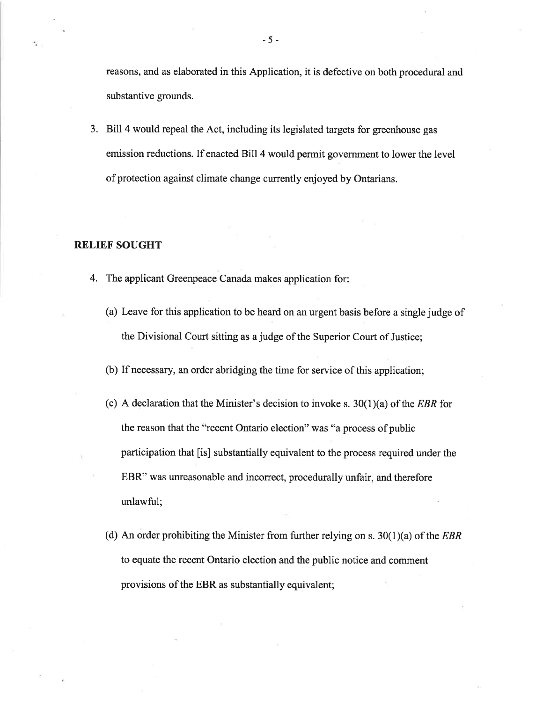reasons, and as elaborated in this Application, it is defective on both procedural and substantive grounds.

3. Bill 4 would repeal the Act, including its legislated targets for greenhouse gas emission reductions. If enacted Bill 4 would permit government to lower the level of protection against climate change currently enjoyed by Ontarians.

#### RELIEF SOUGHT

- 4. The applicant Greenpeace Canada makes application for:
	- (a) Leave for this application to be heard on an urgent basis before a single judge of the Divisional Court sitting as a judge of the Superior Court of Justice;
	- (b) If necessary, an order abridging the time for service of this application;
	- (c) A declaration that the Minister's decision to invoke s.  $30(1)(a)$  of the *EBR* for the reason that the "recent Ontario election" was "a process of public participation that [is] substantially equivalent to the process required under the EBR" was unreasonable and incorrect, procedurally unfair, and therefore unlawful;
	- (d) An order prohibiting the Minister from further relying on s.  $30(1)(a)$  of the *EBR* to equate the recent Ontario election and the public notice and comment provisions of the EBR as substantially equivalent;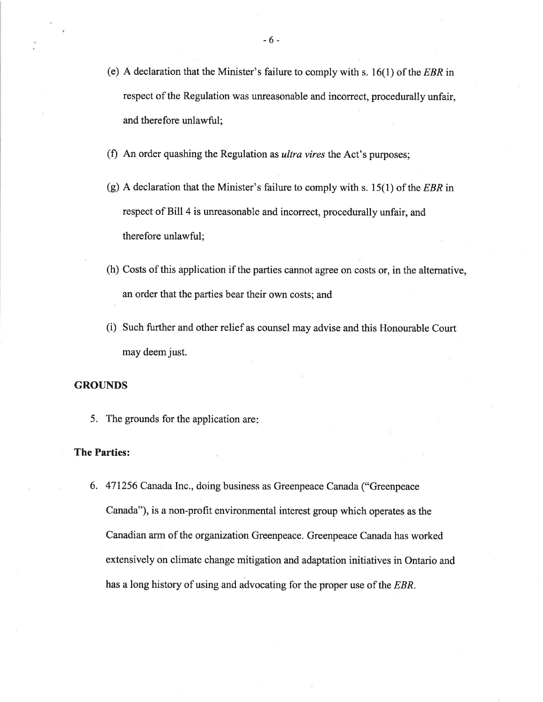- (e) A declaration that the Minister's failure to comply with s.  $16(1)$  of the *EBR* in respect of the Regulation was unreasonable and incorrect, procedurally unfair, and therefore unlawful;
- (f) An order quashing the Regulation as *ultra vires* the Act's purposes;
- (g) A declaration that the Minister's failure to comply with s. 15(1) of the EBR in respect of Bill 4 is unreasonable and incorrect, procedurally unfair, and therefore unlawful;
- (h) Costs of this application if the parties cannot agree on costs or, in the alternative, an order that the parties bear their own costs; and
- (i) Such further and other relief as counsel may advise and this Honourable Court may deem just.

#### **GROUNDS**

5. The grounds for the application are

#### The Parties:

6. <sup>471256</sup>Canada Inc., doing business as Greenpeace Canada ("Greenpeace Canada"), is a non-profit environmental interest group which operates as the Canadian arm of the organization Greenpeace. Greenpeace Canada has worked extensively on climate change mitigation and adaptation initiatives in Ontario and has a long history of using and advocating for the proper use of the EBR.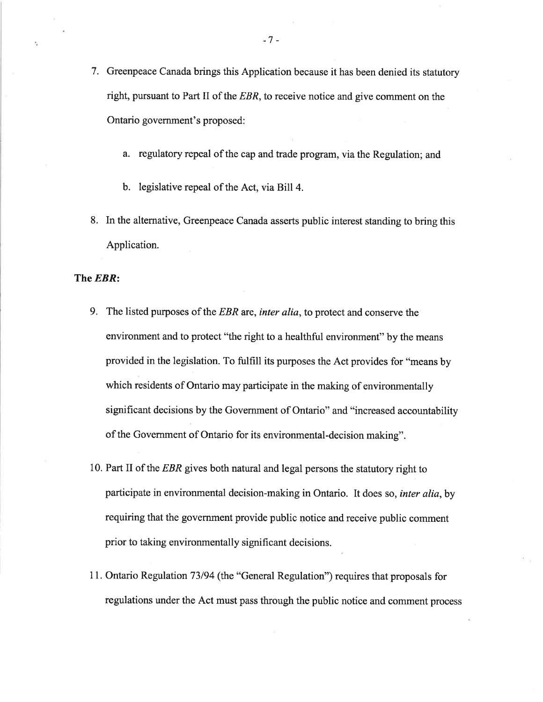- 7. Greenpeace Canada brings this Application because it has been denied its statutory right, pursuant to Part II of the  $EBR$ , to receive notice and give comment on the Ontario govemment's proposed:
	- a. regulatory repeal of the cap and trade program, via the Regulation; and
	- b. legislative repeal of the Act, via Bill 4.
- 8. In the alternative, Greenpeace Canada asserts public interest standing to bring this Application.

The **EBR**:

- 9. The listed purposes of the EBR are, inter alia, to protect and conserve the environment and to protect "the right to a healthful environment" by the means provided in the legislation. To fulfill its purposes the Act provides for "means by which residents of Ontario may participate in the making of environmentally significant decisions by the Government of Ontario" and "increased accountability of the Government of Ontario for its environmental-decision making".
- 10. Part II of the EBR gives both natural and legal persons the statutory right to participate in environmental decision-making in Ontario. It does so, *inter alia*, by requiring that the government provide public notice and receive public comment prior to taking environmentally significant decisions.
- <sup>1</sup>1. Ontario Regulation 73194 (the "General Regulation") requires that proposals for regulations under the Act must pass through the public notice and comment process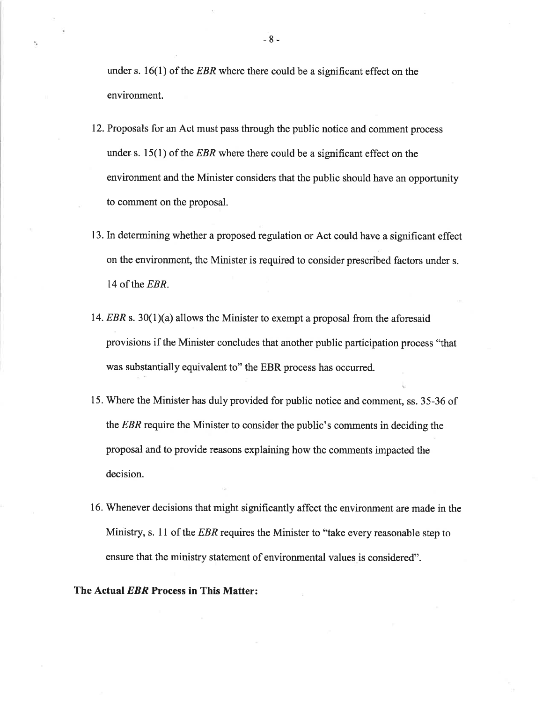under s.  $16(1)$  of the *EBR* where there could be a significant effect on the environment.

- 12. Proposals for an Act must pass through the public notice and comment process under s.  $15(1)$  of the *EBR* where there could be a significant effect on the environment and the Minister considers that the public should have an opportunity to comment on the proposal.
- 13. In determining whether a proposed regulation or Act could have a significant effect on the environment, the Minister is required to consider prescribed factors under s. 14 of the EBR.
- 14. EBR s. 30(1)(a) allows the Minister to exempt a proposal from the aforesaid provisions if the Minister concludes that another public participation process "that was substantially equivalent to" the EBR process has occurred.
- 15. Where the Minister has duly provided for public notice and comment, ss. 35-36 of the EBR require the Minister to consider the public's comments in deciding the proposal and to provide reasons explaining how the comments impacted the decision.
- 16. Whenever decisions that might significantly affect the environment are made in the Ministry, s. 11 of the  $EBR$  requires the Minister to "take every reasonable step to ensure that the ministry statement of environmental values is considered".

### The Actual EBR Process in This Matter:

-8-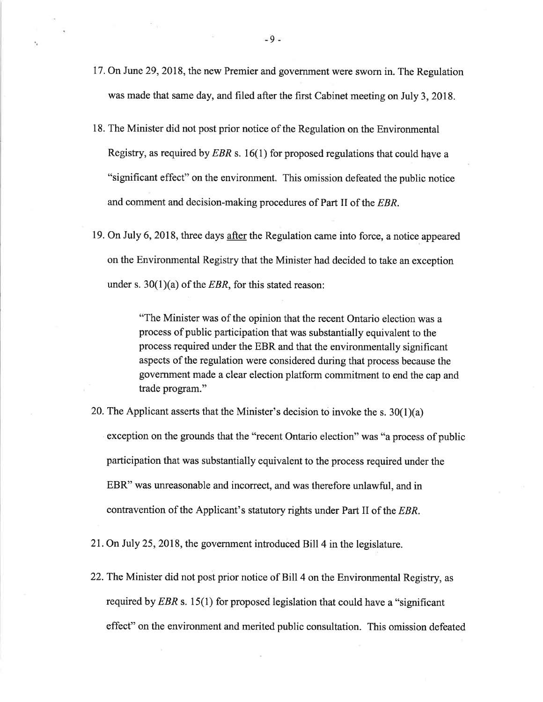- <sup>17</sup>. On June 29,2018, the new Premier and government were sworn in. The Regulation was made that same day, and filed after the first Cabinet meeting on July 3,2018.
- 18. The Minister did not post prior notice of the Regulation on the Environmental Registry, as required by EBR s. 16(1) for proposed regulations that could have a "significant effect" on the environment. This omission defeated the public notice and comment and decision-making procedures of Part II of the EBR.
- 19. On July 6, 2018, three days after the Regulation came into force, a notice appeared on the Environmental Registry that the Minister had decided to take an exception under s.  $30(1)(a)$  of the *EBR*, for this stated reason:

"The Minister was of the opinion that the recent Ontario election was a process of public participation that was substantially equivalent to the process required under the EBR and that the environmentally significant aspects of the regulation were considered during that process because the government made a clear election platform commitment to end the cap and trade program."

- 20. The Applicant asserts that the Minister's decision to invoke the s.  $30(1)(a)$ exception on the grounds that the "recent Ontario election" was "a process of public participation that was substantially equivalent to the process required under the EBR" was unreasonable and incorrect, and was therefore unlawful, and in contravention of the Applicant's statutory rights under Part II of the EBR.
- 21. On July 25,2018, the government introduced Bill 4 in the legislature.
- 22. The Minister did not post prior notice of Bill 4 on the Environmental Registry, as required by  $EBR$  s. 15(1) for proposed legislation that could have a "significant effect" on the environment and merited public consultation. This omission defeated

-9-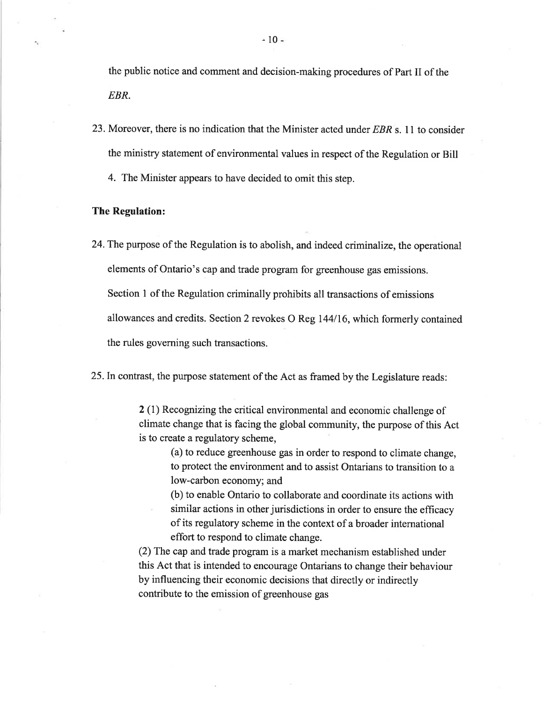the public notice and comment and decision-making procedures of Part II of the EBR.

23. Moreover, there is no indication that the Minister acted under  $EBR$  s. 11 to consider the ministry statement of environmental values in respect of the Regulation or Bill

4. The Minister appears to have decided to omit this step.

#### The Regulation:

24.The purpose of the Regulation is to abolish, and indeed criminalize, the operational elements of Ontario's cap and trade program for greenhouse gas emissions. Section I of the Regulation criminally prohibits all transactions of emissions allowances and credits. Section 2 revokes O Reg 144116, which formerly contained the rules governing such transactions.

25.In contrast, the purpose statement of the Act as framed by the Legislature reads:

2 (1) Recognizing the critical environmental and economic challenge of climate change that is facing the global community, the purpose of this Act is to create a regulatory scheme,

(a) to reduce greenhouse gas in order to respond to climate change, to protect the environment and to assist Ontarians to transition to a low-carbon economy; and

(b) to enable Ontario to collaborate and coordinate its actions with similar actions in other jurisdictions in order to ensure the efficacy of its regulatory scheme in the context of a broader international effort to respond to climate change.

(2) The cap and trade program is a market mechanism established under this Act that is intended to encourage Ontarians to change their behaviour by influencing their economic decisions that directly or indirectly contribute to the emission of greenhouse gas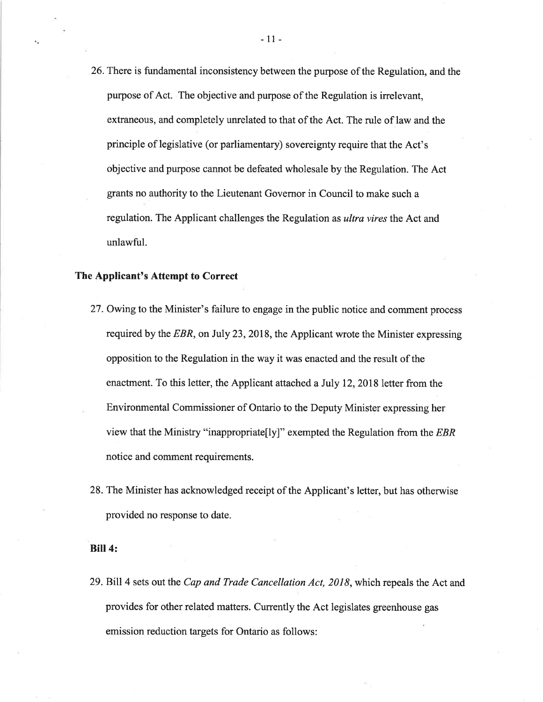26.There is fundamental inconsistency between the purpose of the Regulation, and the purpose of Act. The objective and purpose of the Regulation is irrelevant, extraneous, and completely unrelated to that of the Act. The rule of law and the principle of legislative (or parliamentary) sovereignty require that the Act's objective and purpose cannot be defeated wholesale by the Regulation. The Act grants no authority to the Lieutenant Governor in Council to make such a regulation. The Applicant challenges the Regulation as ultra vires the Act and unlawful.

#### The Applicant's Attempt to Correct

- 27. Owing to the Minister's failure to engage in the public notice and comment process required by the  $EBR$ , on July 23, 2018, the Applicant wrote the Minister expressing opposition to the Regulation in the way it was enacted and the result of the enactment. To this letter, the Applicant attached a July 12, 2018 letter from the Environmental Commissioner of Ontario to the Deputy Minister expressing her view that the Ministry "inappropriate[ly]" exempted the Regulation from the  $EBR$ notice and comment requirements.
- 28. The Minister has acknowledged receipt of the Applicant's letter, but has otherwise provided no response to date.

#### Bill4:

29. Bill 4 sets out the Cap and Trade Cancellation Act, 2018, which repeals the Act and provides for other related matters. Currently the Act legislates greenhouse gas emission reduction targets for Ontario as follows: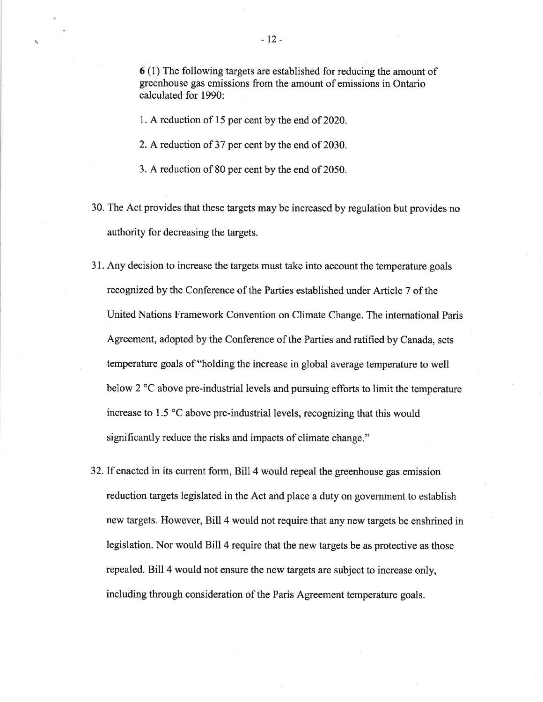<sup>6</sup>(l) The following targets are established for reducing the amount of greenhouse gas emissions from the amount of emissions in Ontario calculated for 1990:

1. A reduction of 15 per cent by the end of 2020.

- 2. A reduction of 37 per cent by the end of 2030.
- 3. A reduction of 80 per cent by the end of 2050.
- 30. The Act provides that these targets may be increased by regulation but provides no authority for decreasing the targets.
- 31. Any decision to increase the targets must take into account the temperature goals recognized by the Conference of the Parties established under Article 7 of the United Nations Framework Convention on Climate Change. The intemational Paris Agreement, adopted by the Conference of the Parties and ratified by Canada, sets temperature goals of "holding the increase in global average temperature to well below 2  $\degree$ C above pre-industrial levels and pursuing efforts to limit the temperature increase to 1.5 "C above pre-industrial levels, recognizing that this would significantly reduce the risks and impacts of climate change."
- 32.If enacted in its current form, Bill 4 would repeal the greenhouse gas emission reduction targets legislated in the Act and place a duty on government to establish new targets. However, Bill 4 would not require that any new targets be enshrined in legislation. Nor would Bill 4 require that the new targets be as protective as those repealed. Bill 4 would not ensure the new targets are subject to increase only, including through consideration of the Paris Agreement temperature goals.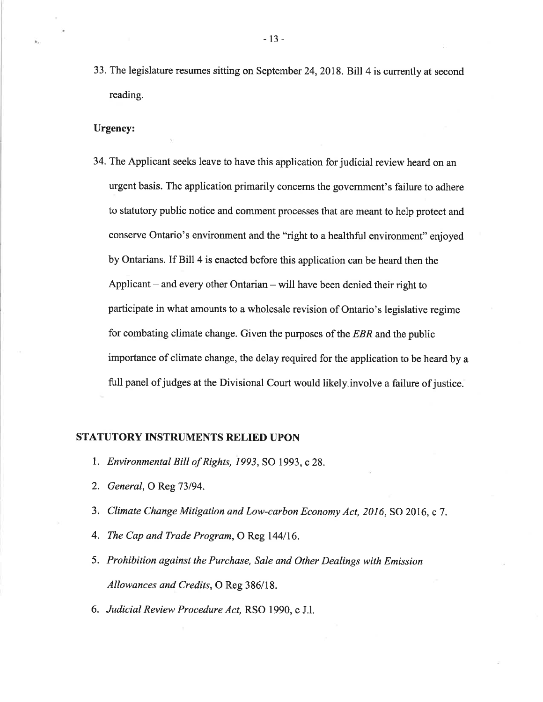33. The legislature resumes sitting on September 24,2018. Bill 4 is currently at second reading.

#### Urgency:

34. The Applicant seeks leave to have this application for judicial review heard on an urgent basis. The application primarily concerns the govemment's failure to adhere to statutory public notice and comment processes that are meant to help protect and conserve Ontario's environment and the "right to a healthful environment" enjoyed by Ontarians. If Bill 4 is enacted before this application can be heard then the Applicant  $-$  and every other Ontarian  $-$  will have been denied their right to participate in what amounts to a wholesale revision of Ontario's legislative regime for combating climate change. Given the purposes of the EBR and the public importance of climate change, the delay required for the application to be heard by a full panel of judges at the Divisional Court would likely involve a failure of justice.

## STATUTORY INSTRUMENTS RELIED UPON

- 1. Environmental Bill of Rights, 1993, SO 1993, c 28.
- 2. *General*, O Reg 73/94.
- 3. Climate Change Mitigation and Low-carbon Economy Act, 2016, SO 2016, c 7.
- 4. The Cap and Trade Program, O Reg 144/16.
- 5. Prohibition against the Purchase, Sale and Other Dealings with Emission Allowances and Credits, O Reg 386/18.
- 6. Judicial Review Procedure Act, RSO 1990, c J.l.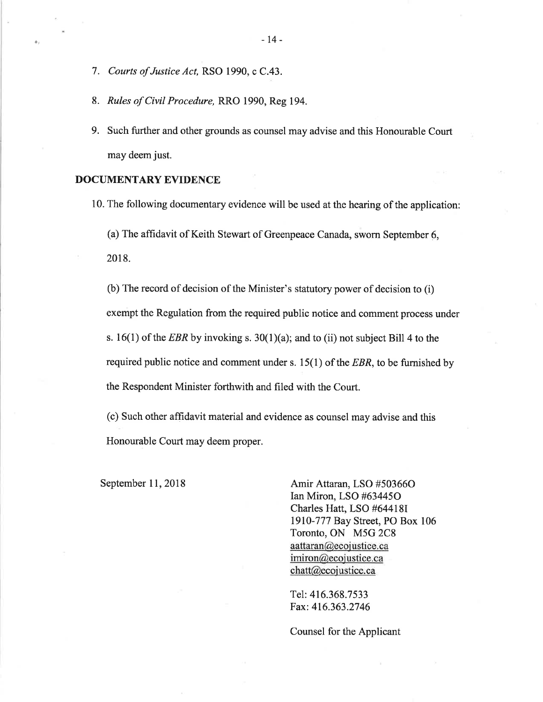- 7. Courts of Justice Act, RSO 1990, c C.43.
- 8. Rules of Civil Procedure, RRO 1990, Reg 194.
- 9. Such further and other grounds as counsel may advise and this Honourable Court may deem just.

#### DOCUMENTARY EVIDENCE

10. The following documentary evidence will be used at the hearing of the application:

(a) The affidavit of Keith Stewart of Greenpeace Canada, sworn September 6,

2018.

(b) The record of decision of the Minister's statutorypower of decision to (i) exempt the Regulation from the required public notice and comment process under s. 16(1) of the *EBR* by invoking s. 30(1)(a); and to (ii) not subject Bill 4 to the required public notice and comment under s.  $15(1)$  of the *EBR*, to be furnished by the Respondent Minister forthwith and filed with the Court.

(c) Such other affidavit material and evidence as counsel may advise and this Honourable Court may deem proper.

September 11, 2018 Amir Attaran, LSO #503660 Ian Miron, LSO #634450 Charles Hatt, LSO #644181 l9l0-777 Bay Street, PO Box 106 Toronto, ON M5G 2C8  $a$ aattaran $@$ ecojustice.ca imiron@ecojustice.ca chatt@ecojustice.ca

> Tel: 416.368.7533 Fax: 416.363.2746

Counsel for the Applicant